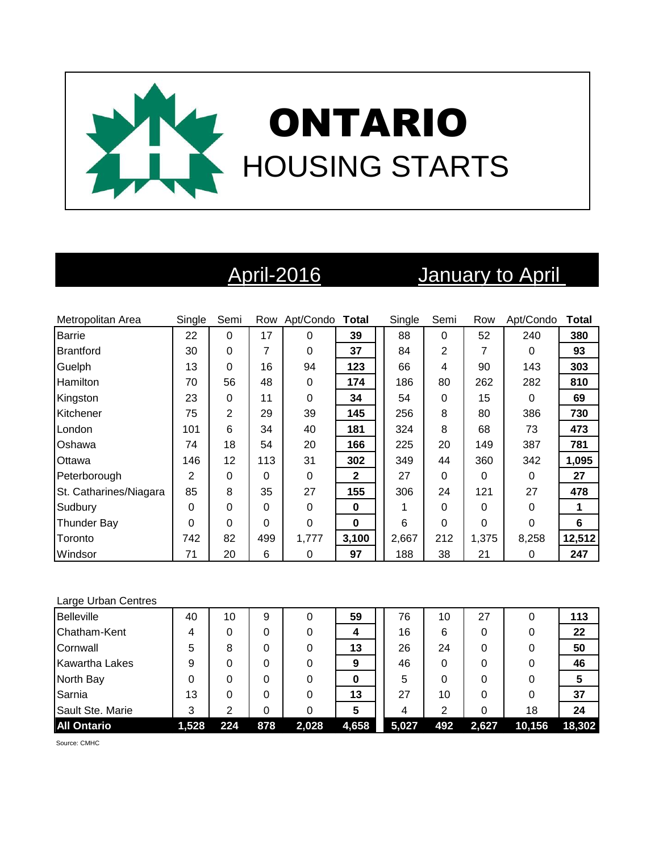

# April-2016 January to April

| Metropolitan Area      | Single   | Semi           |     | Row Apt/Condo Total |              | Single | Semi     | Row      | Apt/Condo | <b>Total</b> |
|------------------------|----------|----------------|-----|---------------------|--------------|--------|----------|----------|-----------|--------------|
| <b>Barrie</b>          | 22       | 0              | 17  | 0                   | 39           | 88     | 0        | 52       | 240       | 380          |
| <b>Brantford</b>       | 30       | 0              | 7   | 0                   | 37           | 84     | 2        |          | 0         | 93           |
| Guelph                 | 13       | 0              | 16  | 94                  | 123          | 66     | 4        | 90       | 143       | 303          |
| Hamilton               | 70       | 56             | 48  | 0                   | 174          | 186    | 80       | 262      | 282       | 810          |
| Kingston               | 23       | 0              | 11  | $\Omega$            | 34           | 54     | 0        | 15       | $\Omega$  | 69           |
| Kitchener              | 75       | $\overline{2}$ | 29  | 39                  | 145          | 256    | 8        | 80       | 386       | 730          |
| London                 | 101      | 6              | 34  | 40                  | 181          | 324    | 8        | 68       | 73        | 473          |
| Oshawa                 | 74       | 18             | 54  | 20                  | 166          | 225    | 20       | 149      | 387       | 781          |
| <b>Ottawa</b>          | 146      | 12             | 113 | 31                  | 302          | 349    | 44       | 360      | 342       | 1,095        |
| Peterborough           | 2        | 0              | 0   | 0                   | $\mathbf{2}$ | 27     | $\Omega$ | 0        | $\Omega$  | 27           |
| St. Catharines/Niagara | 85       | 8              | 35  | 27                  | 155          | 306    | 24       | 121      | 27        | 478          |
| Sudbury                | 0        | 0              | 0   | $\Omega$            | $\bf{0}$     |        | $\Omega$ | 0        | $\Omega$  | 1            |
| <b>Thunder Bay</b>     | $\Omega$ | 0              | 0   | 0                   | $\bf{0}$     | 6      | 0        | $\Omega$ | $\Omega$  | 6            |
| Toronto                | 742      | 82             | 499 | 1,777               | 3,100        | 2,667  | 212      | 1,375    | 8,258     | 12,512       |
| Windsor                | 71       | 20             | 6   | 0                   | 97           | 188    | 38       | 21       | 0         | 247          |

### Large Urban Centres

| <b>Belleville</b>     | 40    | 10  | 9   | 0     | 59    | 76    | 10  | 27    |        | 113    |
|-----------------------|-------|-----|-----|-------|-------|-------|-----|-------|--------|--------|
| Chatham-Kent          | 4     | 0   |     |       |       | 16    | 6   |       |        | 22     |
| Cornwall              | 5     | 8   |     |       | 13    | 26    | 24  |       |        | 50     |
| <b>Kawartha Lakes</b> | 9     | 0   |     |       | 9     | 46    | 0   |       |        | 46     |
| North Bay             |       | 0   |     |       | 0     | 5     | 0   |       |        | 5      |
| Sarnia                | 13    | 0   |     |       | 13    | 27    | 10  |       |        | 37     |
| Sault Ste. Marie      | 3     | າ   |     |       |       | 4     | າ   |       | 18     | 24     |
| <b>All Ontario</b>    | 1,528 | 224 | 878 | 2,028 | 4,658 | 5,027 | 492 | 2,627 | 10,156 | 18,302 |

Source: CMHC